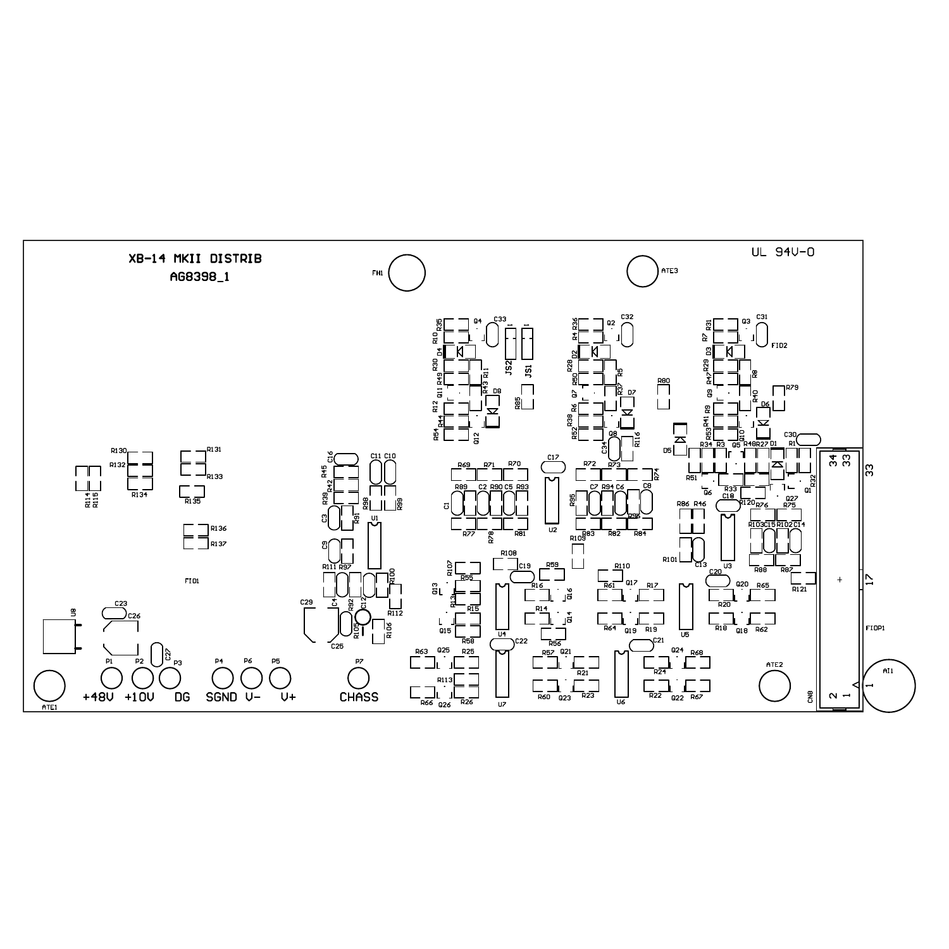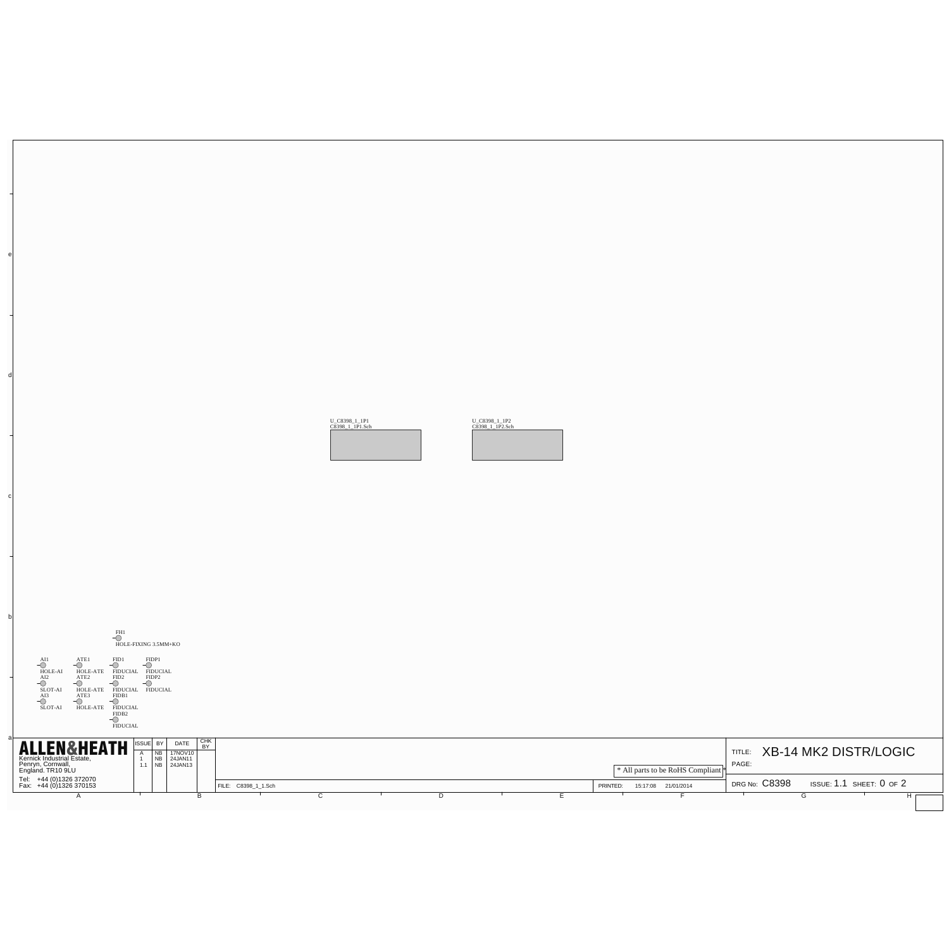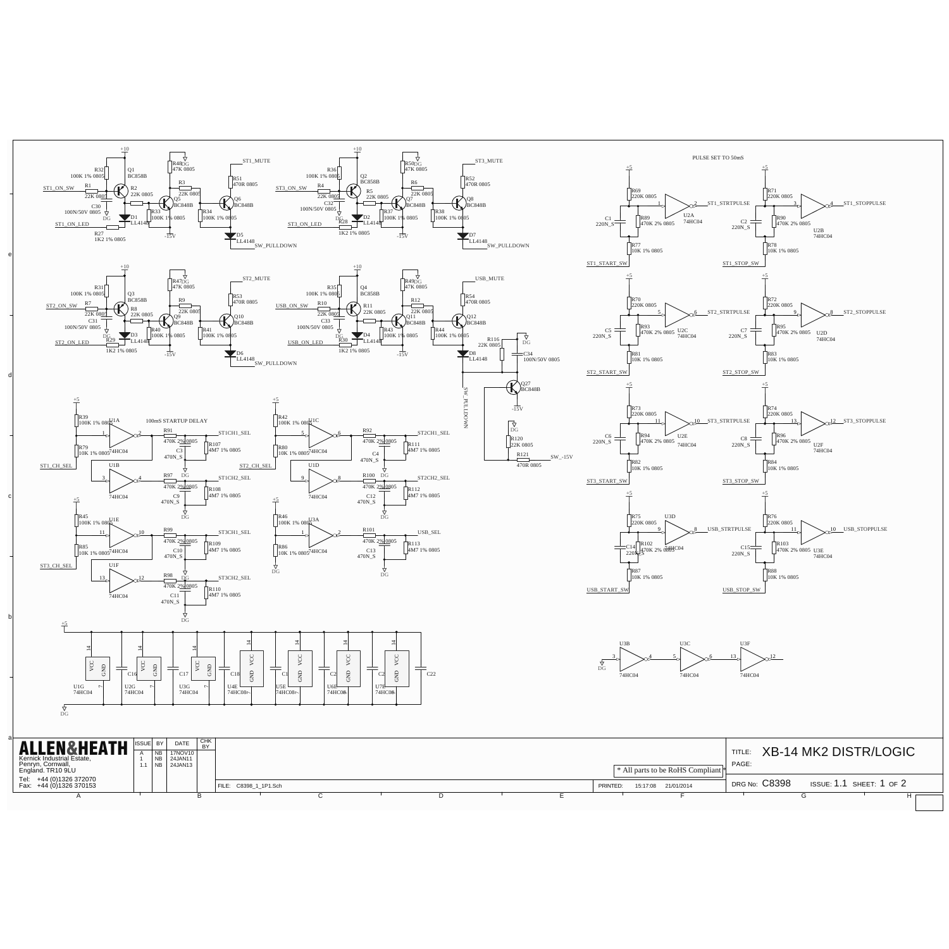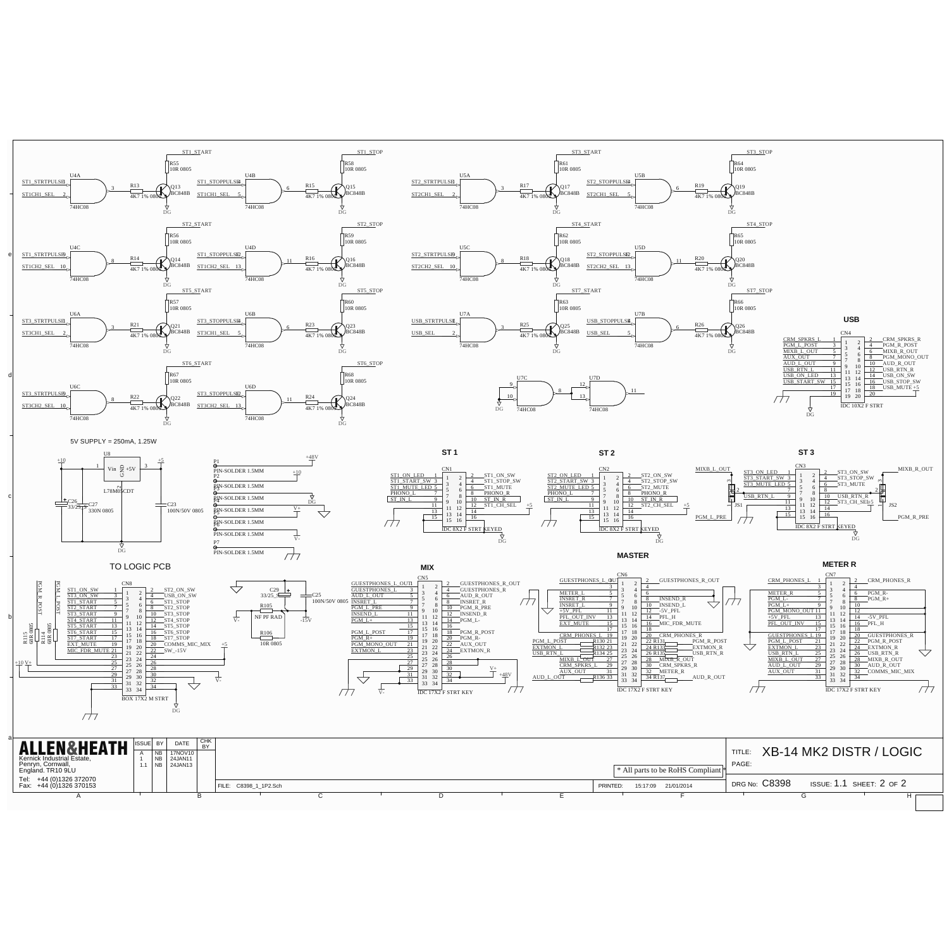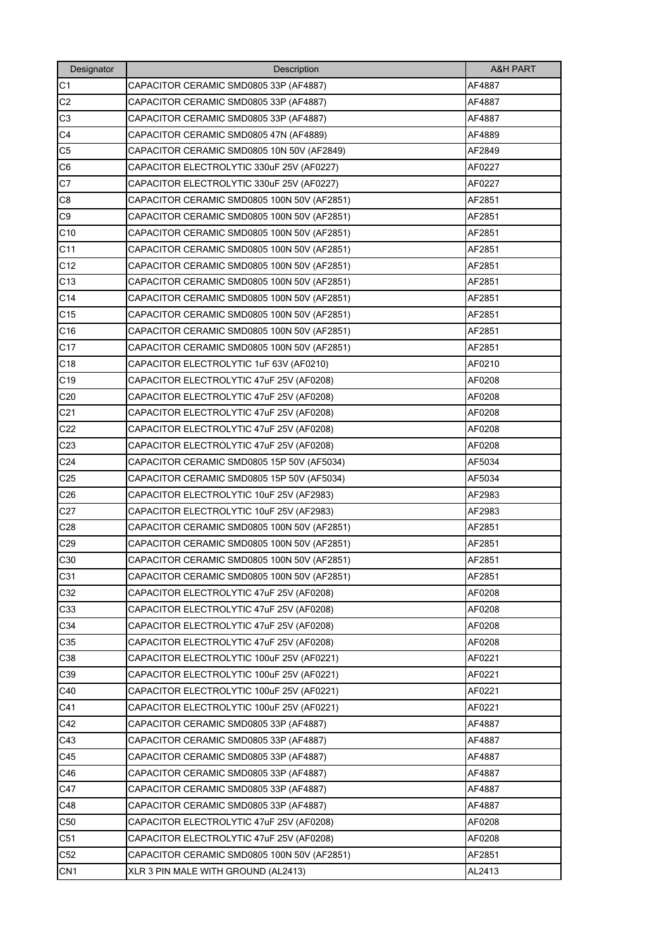| Designator      | Description                                 | <b>A&amp;H PART</b> |
|-----------------|---------------------------------------------|---------------------|
| C <sub>1</sub>  | CAPACITOR CERAMIC SMD0805 33P (AF4887)      | AF4887              |
| C <sub>2</sub>  | CAPACITOR CERAMIC SMD0805 33P (AF4887)      | AF4887              |
| C <sub>3</sub>  | CAPACITOR CERAMIC SMD0805 33P (AF4887)      | AF4887              |
| C <sub>4</sub>  | CAPACITOR CERAMIC SMD0805 47N (AF4889)      | AF4889              |
| C <sub>5</sub>  | CAPACITOR CERAMIC SMD0805 10N 50V (AF2849)  | AF2849              |
| C <sub>6</sub>  | CAPACITOR ELECTROLYTIC 330uF 25V (AF0227)   | AF0227              |
| C7              | CAPACITOR ELECTROLYTIC 330uF 25V (AF0227)   | AF0227              |
| C <sub>8</sub>  | CAPACITOR CERAMIC SMD0805 100N 50V (AF2851) | AF2851              |
| C <sub>9</sub>  | CAPACITOR CERAMIC SMD0805 100N 50V (AF2851) | AF2851              |
| C10             | CAPACITOR CERAMIC SMD0805 100N 50V (AF2851) | AF2851              |
| C11             | CAPACITOR CERAMIC SMD0805 100N 50V (AF2851) | AF2851              |
| C12             | CAPACITOR CERAMIC SMD0805 100N 50V (AF2851) | AF2851              |
| C <sub>13</sub> | CAPACITOR CERAMIC SMD0805 100N 50V (AF2851) | AF2851              |
| C <sub>14</sub> | CAPACITOR CERAMIC SMD0805 100N 50V (AF2851) | AF2851              |
| C15             | CAPACITOR CERAMIC SMD0805 100N 50V (AF2851) | AF2851              |
| C16             | CAPACITOR CERAMIC SMD0805 100N 50V (AF2851) | AF2851              |
| C <sub>17</sub> | CAPACITOR CERAMIC SMD0805 100N 50V (AF2851) | AF2851              |
| C18             | CAPACITOR ELECTROLYTIC 1uF 63V (AF0210)     | AF0210              |
| C <sub>19</sub> | CAPACITOR ELECTROLYTIC 47uF 25V (AF0208)    | AF0208              |
| C <sub>20</sub> | CAPACITOR ELECTROLYTIC 47uF 25V (AF0208)    | AF0208              |
| C <sub>21</sub> | CAPACITOR ELECTROLYTIC 47uF 25V (AF0208)    | AF0208              |
| C22             | CAPACITOR ELECTROLYTIC 47uF 25V (AF0208)    | AF0208              |
| C <sub>23</sub> | CAPACITOR ELECTROLYTIC 47uF 25V (AF0208)    | AF0208              |
| C <sub>24</sub> | CAPACITOR CERAMIC SMD0805 15P 50V (AF5034)  | AF5034              |
| C <sub>25</sub> | CAPACITOR CERAMIC SMD0805 15P 50V (AF5034)  | AF5034              |
| C <sub>26</sub> | CAPACITOR ELECTROLYTIC 10uF 25V (AF2983)    | AF2983              |
| C27             | CAPACITOR ELECTROLYTIC 10uF 25V (AF2983)    | AF2983              |
| C <sub>28</sub> | CAPACITOR CERAMIC SMD0805 100N 50V (AF2851) | AF2851              |
| C <sub>29</sub> | CAPACITOR CERAMIC SMD0805 100N 50V (AF2851) | AF2851              |
| C30             | CAPACITOR CERAMIC SMD0805 100N 50V (AF2851) | AF2851              |
| C31             | CAPACITOR CERAMIC SMD0805 100N 50V (AF2851) | AF2851              |
| C32             | CAPACITOR ELECTROLYTIC 47uF 25V (AF0208)    | AF0208              |
| C33             | CAPACITOR ELECTROLYTIC 47uF 25V (AF0208)    | AF0208              |
| C34             | CAPACITOR ELECTROLYTIC 47uF 25V (AF0208)    | AF0208              |
| C35             | CAPACITOR ELECTROLYTIC 47uF 25V (AF0208)    | AF0208              |
| C38             | CAPACITOR ELECTROLYTIC 100uF 25V (AF0221)   | AF0221              |
| C39             | CAPACITOR ELECTROLYTIC 100uF 25V (AF0221)   | AF0221              |
| C40             | CAPACITOR ELECTROLYTIC 100uF 25V (AF0221)   | AF0221              |
| C41             | CAPACITOR ELECTROLYTIC 100uF 25V (AF0221)   | AF0221              |
| C42             | CAPACITOR CERAMIC SMD0805 33P (AF4887)      | AF4887              |
| C43             | CAPACITOR CERAMIC SMD0805 33P (AF4887)      | AF4887              |
| C45             | CAPACITOR CERAMIC SMD0805 33P (AF4887)      | AF4887              |
| C46             | CAPACITOR CERAMIC SMD0805 33P (AF4887)      | AF4887              |
| C47             | CAPACITOR CERAMIC SMD0805 33P (AF4887)      | AF4887              |
| C48             | CAPACITOR CERAMIC SMD0805 33P (AF4887)      | AF4887              |
| C50             | CAPACITOR ELECTROLYTIC 47uF 25V (AF0208)    | AF0208              |
| C51             | CAPACITOR ELECTROLYTIC 47uF 25V (AF0208)    | AF0208              |
| C52             | CAPACITOR CERAMIC SMD0805 100N 50V (AF2851) | AF2851              |
| CN <sub>1</sub> | XLR 3 PIN MALE WITH GROUND (AL2413)         | AL2413              |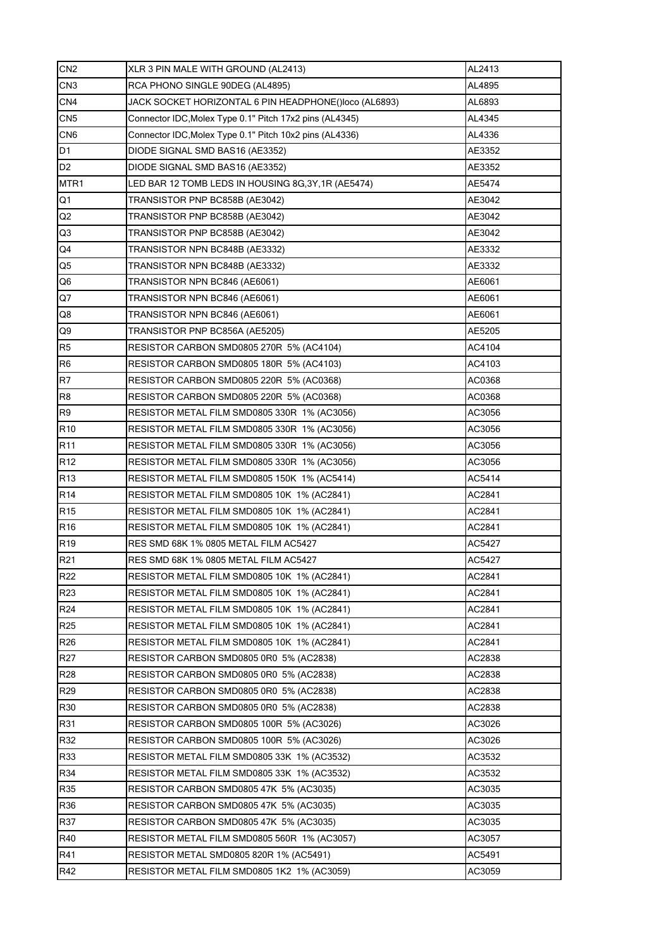| CN2             | XLR 3 PIN MALE WITH GROUND (AL2413)                     | AL2413 |
|-----------------|---------------------------------------------------------|--------|
| CN <sub>3</sub> | RCA PHONO SINGLE 90DEG (AL4895)                         | AL4895 |
| CN4             | JACK SOCKET HORIZONTAL 6 PIN HEADPHONE()loco (AL6893)   | AL6893 |
| CN5             | Connector IDC, Molex Type 0.1" Pitch 17x2 pins (AL4345) | AL4345 |
| CN <sub>6</sub> | Connector IDC, Molex Type 0.1" Pitch 10x2 pins (AL4336) | AL4336 |
| D <sub>1</sub>  | DIODE SIGNAL SMD BAS16 (AE3352)                         | AE3352 |
| D <sub>2</sub>  | DIODE SIGNAL SMD BAS16 (AE3352)                         | AE3352 |
| MTR1            | LED BAR 12 TOMB LEDS IN HOUSING 8G,3Y,1R (AE5474)       | AE5474 |
| Q1              | TRANSISTOR PNP BC858B (AE3042)                          | AE3042 |
| Q2              | TRANSISTOR PNP BC858B (AE3042)                          | AE3042 |
| Q3              | TRANSISTOR PNP BC858B (AE3042)                          | AE3042 |
| Q4              | TRANSISTOR NPN BC848B (AE3332)                          | AE3332 |
| Q5              | TRANSISTOR NPN BC848B (AE3332)                          | AE3332 |
| Q6              | TRANSISTOR NPN BC846 (AE6061)                           | AE6061 |
| Q7              | TRANSISTOR NPN BC846 (AE6061)                           | AE6061 |
| Q8              | TRANSISTOR NPN BC846 (AE6061)                           | AE6061 |
| Q9              | TRANSISTOR PNP BC856A (AE5205)                          | AE5205 |
| R <sub>5</sub>  | RESISTOR CARBON SMD0805 270R 5% (AC4104)                | AC4104 |
| R <sub>6</sub>  | RESISTOR CARBON SMD0805 180R 5% (AC4103)                | AC4103 |
| R7              | RESISTOR CARBON SMD0805 220R 5% (AC0368)                | AC0368 |
| R <sub>8</sub>  | RESISTOR CARBON SMD0805 220R 5% (AC0368)                | AC0368 |
| R <sub>9</sub>  | RESISTOR METAL FILM SMD0805 330R 1% (AC3056)            | AC3056 |
| R <sub>10</sub> | RESISTOR METAL FILM SMD0805 330R 1% (AC3056)            | AC3056 |
| R <sub>11</sub> | RESISTOR METAL FILM SMD0805 330R 1% (AC3056)            | AC3056 |
| R <sub>12</sub> | RESISTOR METAL FILM SMD0805 330R 1% (AC3056)            | AC3056 |
| R <sub>13</sub> | RESISTOR METAL FILM SMD0805 150K 1% (AC5414)            | AC5414 |
| R <sub>14</sub> | RESISTOR METAL FILM SMD0805 10K 1% (AC2841)             | AC2841 |
| R <sub>15</sub> | RESISTOR METAL FILM SMD0805 10K 1% (AC2841)             | AC2841 |
| R <sub>16</sub> | RESISTOR METAL FILM SMD0805 10K 1% (AC2841)             | AC2841 |
| R <sub>19</sub> | RES SMD 68K 1% 0805 METAL FILM AC5427                   | AC5427 |
| R <sub>21</sub> | RES SMD 68K 1% 0805 METAL FILM AC5427                   | AC5427 |
| R <sub>22</sub> | RESISTOR METAL FILM SMD0805 10K 1% (AC2841)             | AC2841 |
| R <sub>23</sub> | RESISTOR METAL FILM SMD0805 10K 1% (AC2841)             | AC2841 |
| R <sub>24</sub> | RESISTOR METAL FILM SMD0805 10K 1% (AC2841)             | AC2841 |
| R <sub>25</sub> | RESISTOR METAL FILM SMD0805 10K 1% (AC2841)             | AC2841 |
| R <sub>26</sub> | RESISTOR METAL FILM SMD0805 10K 1% (AC2841)             | AC2841 |
| R <sub>27</sub> | RESISTOR CARBON SMD0805 0R0 5% (AC2838)                 | AC2838 |
| R <sub>28</sub> | RESISTOR CARBON SMD0805 0R0 5% (AC2838)                 | AC2838 |
| R <sub>29</sub> | RESISTOR CARBON SMD0805 0R0 5% (AC2838)                 | AC2838 |
| R30             | RESISTOR CARBON SMD0805 0R0 5% (AC2838)                 | AC2838 |
| R31             | RESISTOR CARBON SMD0805 100R 5% (AC3026)                | AC3026 |
| R32             | RESISTOR CARBON SMD0805 100R 5% (AC3026)                | AC3026 |
| R33             | RESISTOR METAL FILM SMD0805 33K 1% (AC3532)             | AC3532 |
| R34             | RESISTOR METAL FILM SMD0805 33K 1% (AC3532)             | AC3532 |
| R35             | RESISTOR CARBON SMD0805 47K 5% (AC3035)                 | AC3035 |
| R36             | RESISTOR CARBON SMD0805 47K 5% (AC3035)                 | AC3035 |
| <b>R37</b>      | RESISTOR CARBON SMD0805 47K 5% (AC3035)                 | AC3035 |
| R40             | RESISTOR METAL FILM SMD0805 560R 1% (AC3057)            | AC3057 |
| R41             | RESISTOR METAL SMD0805 820R 1% (AC5491)                 | AC5491 |
| R42             | RESISTOR METAL FILM SMD0805 1K2 1% (AC3059)             | AC3059 |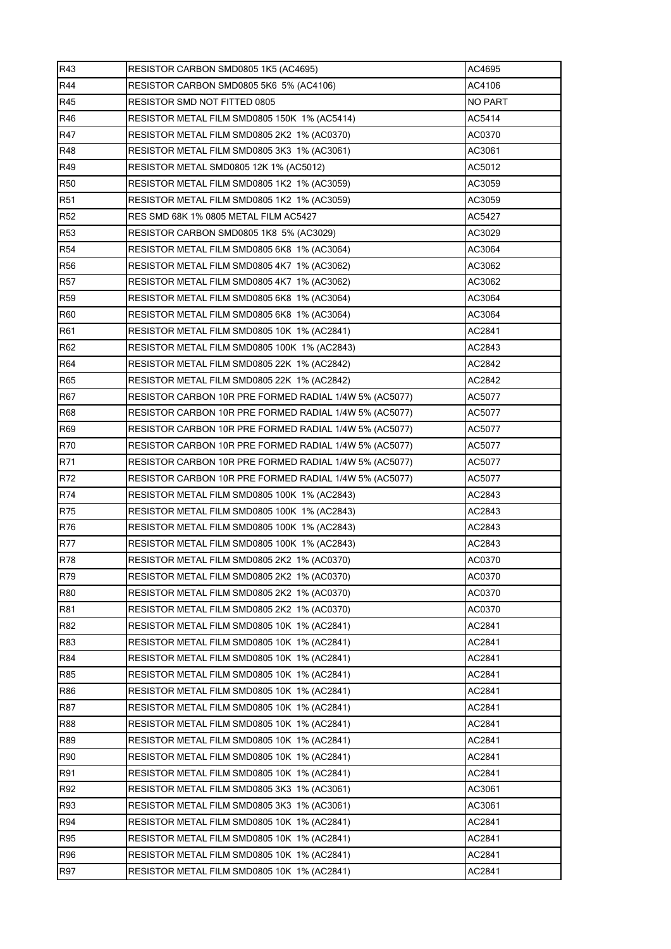| R43             | RESISTOR CARBON SMD0805 1K5 (AC4695)                   | AC4695         |
|-----------------|--------------------------------------------------------|----------------|
| R44             | RESISTOR CARBON SMD0805 5K6 5% (AC4106)                | AC4106         |
| R45             | RESISTOR SMD NOT FITTED 0805                           | <b>NO PART</b> |
| R46             | RESISTOR METAL FILM SMD0805 150K 1% (AC5414)           | AC5414         |
| R47             | RESISTOR METAL FILM SMD0805 2K2 1% (AC0370)            | AC0370         |
| <b>R48</b>      | RESISTOR METAL FILM SMD0805 3K3 1% (AC3061)            | AC3061         |
| R49             | RESISTOR METAL SMD0805 12K 1% (AC5012)                 | AC5012         |
| <b>R50</b>      | RESISTOR METAL FILM SMD0805 1K2 1% (AC3059)            | AC3059         |
| <b>R51</b>      | RESISTOR METAL FILM SMD0805 1K2 1% (AC3059)            | AC3059         |
| R <sub>52</sub> | RES SMD 68K 1% 0805 METAL FILM AC5427                  | AC5427         |
| R <sub>53</sub> | RESISTOR CARBON SMD0805 1K8 5% (AC3029)                | AC3029         |
| <b>R54</b>      | RESISTOR METAL FILM SMD0805 6K8 1% (AC3064)            | AC3064         |
| <b>R56</b>      | RESISTOR METAL FILM SMD0805 4K7 1% (AC3062)            | AC3062         |
| <b>R57</b>      | RESISTOR METAL FILM SMD0805 4K7 1% (AC3062)            | AC3062         |
| <b>R59</b>      | RESISTOR METAL FILM SMD0805 6K8 1% (AC3064)            | AC3064         |
| R60             | RESISTOR METAL FILM SMD0805 6K8 1% (AC3064)            | AC3064         |
| R61             | RESISTOR METAL FILM SMD0805 10K 1% (AC2841)            | AC2841         |
| R62             | RESISTOR METAL FILM SMD0805 100K 1% (AC2843)           | AC2843         |
| R64             | RESISTOR METAL FILM SMD0805 22K 1% (AC2842)            | AC2842         |
| R65             | RESISTOR METAL FILM SMD0805 22K 1% (AC2842)            | AC2842         |
| <b>R67</b>      | RESISTOR CARBON 10R PRE FORMED RADIAL 1/4W 5% (AC5077) | AC5077         |
| <b>R68</b>      | RESISTOR CARBON 10R PRE FORMED RADIAL 1/4W 5% (AC5077) | AC5077         |
| R69             | RESISTOR CARBON 10R PRE FORMED RADIAL 1/4W 5% (AC5077) | AC5077         |
| <b>R70</b>      | RESISTOR CARBON 10R PRE FORMED RADIAL 1/4W 5% (AC5077) | AC5077         |
| R71             | RESISTOR CARBON 10R PRE FORMED RADIAL 1/4W 5% (AC5077) | AC5077         |
| R72             | RESISTOR CARBON 10R PRE FORMED RADIAL 1/4W 5% (AC5077) | AC5077         |
| R74             | RESISTOR METAL FILM SMD0805 100K 1% (AC2843)           | AC2843         |
| R75             | RESISTOR METAL FILM SMD0805 100K 1% (AC2843)           | AC2843         |
| R76             | RESISTOR METAL FILM SMD0805 100K 1% (AC2843)           | AC2843         |
| <b>R77</b>      | RESISTOR METAL FILM SMD0805 100K 1% (AC2843)           | AC2843         |
| <b>R78</b>      | RESISTOR METAL FILM SMD0805 2K2 1% (AC0370)            | AC0370         |
| R79             | RESISTOR METAL FILM SMD0805 2K2 1% (AC0370)            | AC0370         |
| <b>R80</b>      | RESISTOR METAL FILM SMD0805 2K2 1% (AC0370)            | AC0370         |
| <b>R81</b>      | RESISTOR METAL FILM SMD0805 2K2 1% (AC0370)            | AC0370         |
| R82             | RESISTOR METAL FILM SMD0805 10K 1% (AC2841)            | AC2841         |
| R83             | RESISTOR METAL FILM SMD0805 10K 1% (AC2841)            | AC2841         |
| R84             | RESISTOR METAL FILM SMD0805 10K 1% (AC2841)            | AC2841         |
| <b>R85</b>      | RESISTOR METAL FILM SMD0805 10K 1% (AC2841)            | AC2841         |
| <b>R86</b>      | RESISTOR METAL FILM SMD0805 10K 1% (AC2841)            | AC2841         |
| <b>R87</b>      | RESISTOR METAL FILM SMD0805 10K 1% (AC2841)            | AC2841         |
| <b>R88</b>      | RESISTOR METAL FILM SMD0805 10K 1% (AC2841)            | AC2841         |
| <b>R89</b>      | RESISTOR METAL FILM SMD0805 10K 1% (AC2841)            | AC2841         |
| <b>R90</b>      | RESISTOR METAL FILM SMD0805 10K 1% (AC2841)            | AC2841         |
| R91             | RESISTOR METAL FILM SMD0805 10K 1% (AC2841)            | AC2841         |
| R92             | RESISTOR METAL FILM SMD0805 3K3 1% (AC3061)            | AC3061         |
| R93             | RESISTOR METAL FILM SMD0805 3K3 1% (AC3061)            | AC3061         |
| R94             | RESISTOR METAL FILM SMD0805 10K 1% (AC2841)            | AC2841         |
| <b>R95</b>      | RESISTOR METAL FILM SMD0805 10K 1% (AC2841)            | AC2841         |
| <b>R96</b>      | RESISTOR METAL FILM SMD0805 10K 1% (AC2841)            | AC2841         |
| <b>R97</b>      | RESISTOR METAL FILM SMD0805 10K 1% (AC2841)            | AC2841         |